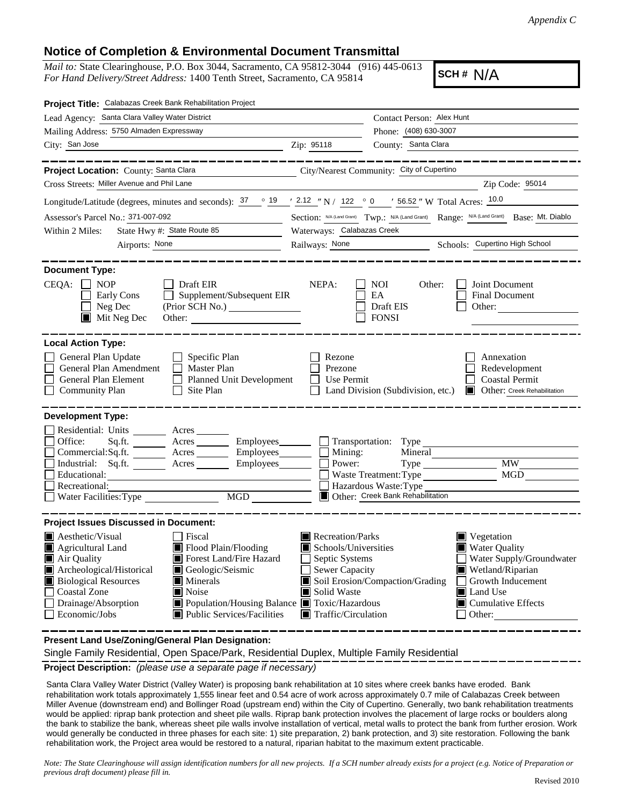*Appendix C*

## **Notice of Completion & Environmental Document Transmittal**

*Mail to:* State Clearinghouse, P.O. Box 3044, Sacramento, CA 95812-3044 (916) 445-0613 *For Hand Delivery/Street Address:* 1400 Tenth Street, Sacramento, CA 95814

**SCH #** N/A

| Project Title: Calabazas Creek Bank Rehabilitation Project                                                                                                                                                                                                                                                                                                                                        |                                 |                                                                                                                                                                                                                                                                                                                                                                  |  |  |
|---------------------------------------------------------------------------------------------------------------------------------------------------------------------------------------------------------------------------------------------------------------------------------------------------------------------------------------------------------------------------------------------------|---------------------------------|------------------------------------------------------------------------------------------------------------------------------------------------------------------------------------------------------------------------------------------------------------------------------------------------------------------------------------------------------------------|--|--|
| Lead Agency: Santa Clara Valley Water District                                                                                                                                                                                                                                                                                                                                                    |                                 | Contact Person: Alex Hunt                                                                                                                                                                                                                                                                                                                                        |  |  |
| Mailing Address: 5750 Almaden Expressway                                                                                                                                                                                                                                                                                                                                                          |                                 | Phone: (408) 630-3007                                                                                                                                                                                                                                                                                                                                            |  |  |
| City: San Jose<br><u> 1989 - Jan Barnett, fransk politik (d. 1989)</u>                                                                                                                                                                                                                                                                                                                            | Zip: 95118                      | County: Santa Clara                                                                                                                                                                                                                                                                                                                                              |  |  |
| ---------                                                                                                                                                                                                                                                                                                                                                                                         |                                 |                                                                                                                                                                                                                                                                                                                                                                  |  |  |
| Project Location: County: Santa Clara<br><u> 1989 - Johann Barbara, martxa alemaniar a</u>                                                                                                                                                                                                                                                                                                        |                                 | City/Nearest Community: City of Cupertino                                                                                                                                                                                                                                                                                                                        |  |  |
| Cross Streets: Miller Avenue and Phil Lane                                                                                                                                                                                                                                                                                                                                                        |                                 | Zip Code: 95014                                                                                                                                                                                                                                                                                                                                                  |  |  |
| Longitude/Latitude (degrees, minutes and seconds): $37 \degree$ $19 \degree$ / $2.12 \degree$ N / 122 $\degree$ 0 / 56.52 " W Total Acres: $10.0$                                                                                                                                                                                                                                                 |                                 |                                                                                                                                                                                                                                                                                                                                                                  |  |  |
| Assessor's Parcel No.: 371-007-092                                                                                                                                                                                                                                                                                                                                                                |                                 | Section: N/A (Land Grant) Twp.: N/A (Land Grant) Range: N/A (Land Grant) Base: Mt. Diablo                                                                                                                                                                                                                                                                        |  |  |
| State Hwy #: State Route 85<br>Within 2 Miles:                                                                                                                                                                                                                                                                                                                                                    | Waterways: Calabazas Creek      |                                                                                                                                                                                                                                                                                                                                                                  |  |  |
| Airports: None                                                                                                                                                                                                                                                                                                                                                                                    | Railways: None                  | Schools: Cupertino High School                                                                                                                                                                                                                                                                                                                                   |  |  |
| <b>Document Type:</b><br>CEQA:<br>Draft EIR<br>Joint Document<br><b>NOP</b><br>NEPA:<br>NOI.<br>Other:<br>Supplement/Subsequent EIR<br>EA<br>Early Cons<br><b>Final Document</b><br>Neg Dec<br>Draft EIS<br>Other:<br><b>FONSI</b><br>$\blacksquare$ Mit Neg Dec<br>Other: $\qquad \qquad$                                                                                                        |                                 |                                                                                                                                                                                                                                                                                                                                                                  |  |  |
| <b>Local Action Type:</b><br>General Plan Update<br>$\Box$ Specific Plan<br>General Plan Amendment<br>$\Box$<br>Master Plan<br>General Plan Element<br>Planned Unit Development<br><b>Community Plan</b><br>Site Plan                                                                                                                                                                             | Rezone<br>Prezone<br>Use Permit | Annexation<br>Redevelopment<br><b>Coastal Permit</b><br>Land Division (Subdivision, etc.)<br>Other: Creek Rehabilitation                                                                                                                                                                                                                                         |  |  |
| <b>Development Type:</b><br>Residential: Units ________ Acres _______<br>Office:<br>Sq.ft. ________ Acres _________ Employees _______ __ Transportation: Type<br>Commercial:Sq.ft. ________ Acres _________ Employees______<br>Industrial: Sq.ft. _______ Acres _______ Employees_____<br>Educational:<br>Recreational:<br>MGD<br>Water Facilities: Type                                          | Mining:<br>Power:               | Mineral<br><b>MW</b><br>MGD<br>Waste Treatment: Type<br>Hazardous Waste: Type<br>Other: Creek Bank Rehabilitation                                                                                                                                                                                                                                                |  |  |
| <b>Project Issues Discussed in Document:</b>                                                                                                                                                                                                                                                                                                                                                      |                                 |                                                                                                                                                                                                                                                                                                                                                                  |  |  |
| <b>A</b> esthetic/Visual<br><b>Fiscal</b><br>Agricultural Land<br>Flood Plain/Flooding<br>Forest Land/Fire Hazard<br>Air Quality<br>Archeological/Historical<br>Geologic/Seismic<br><b>Biological Resources</b><br>Minerals<br><b>Coastal Zone</b><br><b>■</b> Noise<br>Drainage/Absorption<br>Population/Housing Balance ■ Toxic/Hazardous<br><b>Public Services/Facilities</b><br>Economic/Jobs | Solid Waste                     | Recreation/Parks<br>$\blacksquare$ Vegetation<br>$\blacksquare$ Schools/Universities<br><b>Water Quality</b><br>Septic Systems<br>Water Supply/Groundwater<br><b>Sewer Capacity</b><br>Wetland/Riparian<br>Soil Erosion/Compaction/Grading<br>Growth Inducement<br>Land Use<br>$\blacksquare$ Cumulative Effects<br>$\blacksquare$ Traffic/Circulation<br>Other: |  |  |

**Present Land Use/Zoning/General Plan Designation:**

Single Family Residential, Open Space/Park, Residential Duplex, Multiple Family Residential

**Project Description:** *(please use a separate page if necessary)*

 Santa Clara Valley Water District (Valley Water) is proposing bank rehabilitation at 10 sites where creek banks have eroded. Bank rehabilitation work totals approximately 1,555 linear feet and 0.54 acre of work across approximately 0.7 mile of Calabazas Creek between Miller Avenue (downstream end) and Bollinger Road (upstream end) within the City of Cupertino. Generally, two bank rehabilitation treatments would be applied: riprap bank protection and sheet pile walls. Riprap bank protection involves the placement of large rocks or boulders along the bank to stabilize the bank, whereas sheet pile walls involve installation of vertical, metal walls to protect the bank from further erosion. Work would generally be conducted in three phases for each site: 1) site preparation, 2) bank protection, and 3) site restoration. Following the bank rehabilitation work, the Project area would be restored to a natural, riparian habitat to the maximum extent practicable.

*Note: The State Clearinghouse will assign identification numbers for all new projects. If a SCH number already exists for a project (e.g. Notice of Preparation or previous draft document) please fill in.*